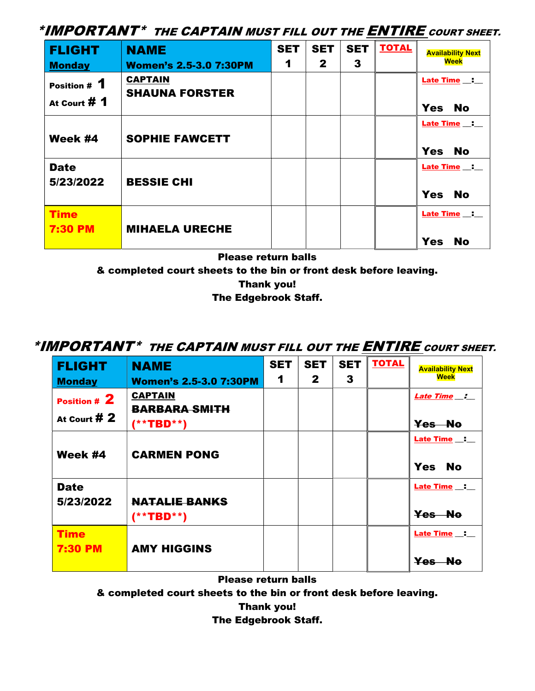\*IMPORTANT\* THE CAPTAIN MUST FILL OUT THE **ENTIRE** COURT SHEET.

| <b>FLIGHT</b>                                 | <b>NAME</b><br><b>Women's 2.5-3.0 7:30PM</b> | <b>SET</b><br>1 | <b>SET</b><br>$\mathbf{2}$ | <b>SET</b><br>3 | <b>TOTAL</b> | <b>Availability Next</b><br><b>Week</b>     |
|-----------------------------------------------|----------------------------------------------|-----------------|----------------------------|-----------------|--------------|---------------------------------------------|
| <b>Monday</b><br>Position # 1<br>At Court # 1 | <b>CAPTAIN</b><br><b>SHAUNA FORSTER</b>      |                 |                            |                 |              | Late Time _: _<br><b>Yes</b><br><b>No</b>   |
| Week #4                                       | <b>SOPHIE FAWCETT</b>                        |                 |                            |                 |              | <b>Late Time</b><br><b>Yes</b><br><b>No</b> |
| <b>Date</b><br>5/23/2022                      | <b>BESSIE CHI</b>                            |                 |                            |                 |              | Late Time _: _<br><b>Yes</b><br><b>No</b>   |
| <b>Time</b><br><b>7:30 PM</b>                 | <b>MIHAELA URECHE</b>                        |                 |                            |                 |              | Late Time _:<br><b>Yes</b><br><b>No</b>     |

Please return balls

& completed court sheets to the bin or front desk before leaving.

Thank you!

The Edgebrook Staff.

## \*IMPORTANT\* THE CAPTAIN MUST FILL OUT THE ENTIRE COURT SHEET.

| <b>FLIGHT</b><br><b>Monday</b> | <b>NAME</b><br><b>Women's 2.5-3.0 7:30PM</b> | <b>SET</b><br>1 | <b>SET</b><br>$\mathbf{2}$ | <b>SET</b><br>3 | <b>TOTAL</b> | <b>Availability Next</b><br><b>Week</b> |
|--------------------------------|----------------------------------------------|-----------------|----------------------------|-----------------|--------------|-----------------------------------------|
| Position # 2                   | <b>CAPTAIN</b><br><b>BARBARA SMITH</b>       |                 |                            |                 |              | <b>Late Time</b> __ :                   |
| At Court $#2$                  | $(* * TBD * *)$                              |                 |                            |                 |              | Yes No                                  |
| Week #4                        | <b>CARMEN PONG</b>                           |                 |                            |                 |              | <b>Late Time</b> :<br>Yes No            |
| <b>Date</b><br>5/23/2022       | <b>NATALIE BANKS</b><br>$(**TBD**)$          |                 |                            |                 |              | Late Time :<br>Yes No                   |
| <b>Time</b><br><b>7:30 PM</b>  | <b>AMY HIGGINS</b>                           |                 |                            |                 |              | Late Time _:<br>Yes No                  |

Please return balls

& completed court sheets to the bin or front desk before leaving.

Thank you!

The Edgebrook Staff.